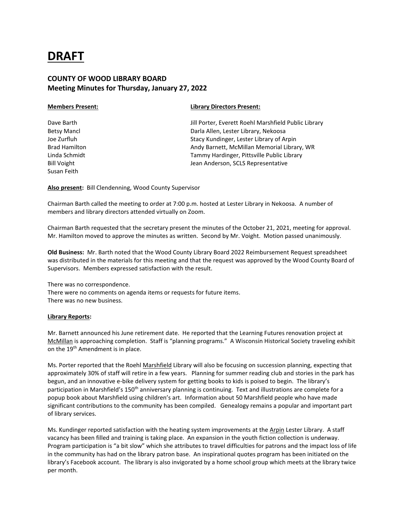# **DRAFT**

# **COUNTY OF WOOD LIBRARY BOARD Meeting Minutes for Thursday, January 27, 2022**

Susan Feith

### **Members Present: Library Directors Present:**

Dave Barth **Jill Porter, Everett Roehl Marshfield Public Library** Jill Porter, Everett Roehl Marshfield Public Library Betsy Mancl Darla Allen, Lester Library, Nekoosa Joe Zurfluh Stacy Kundinger, Lester Library of Arpin Brad Hamilton **Andy Barnett, McMillan Memorial Library, WR** Andy Barnett, McMillan Memorial Library, WR Linda Schmidt Tammy Hardinger, Pittsville Public Library Bill Voight **Jean Anderson, SCLS Representative** 

**Also present:** Bill Clendenning, Wood County Supervisor

Chairman Barth called the meeting to order at 7:00 p.m. hosted at Lester Library in Nekoosa. A number of members and library directors attended virtually on Zoom.

Chairman Barth requested that the secretary present the minutes of the October 21, 2021, meeting for approval. Mr. Hamilton moved to approve the minutes as written. Second by Mr. Voight. Motion passed unanimously.

**Old Business:** Mr. Barth noted that the Wood County Library Board 2022 Reimbursement Request spreadsheet was distributed in the materials for this meeting and that the request was approved by the Wood County Board of Supervisors. Members expressed satisfaction with the result.

There was no correspondence. There were no comments on agenda items or requests for future items. There was no new business.

## **Library Reports:**

Mr. Barnett announced his June retirement date. He reported that the Learning Futures renovation project at McMillan is approaching completion. Staff is "planning programs." A Wisconsin Historical Society traveling exhibit on the 19<sup>th</sup> Amendment is in place.

Ms. Porter reported that the Roehl Marshfield Library will also be focusing on succession planning, expecting that approximately 30% of staff will retire in a few years. Planning for summer reading club and stories in the park has begun, and an innovative e-bike delivery system for getting books to kids is poised to begin. The library's participation in Marshfield's 150<sup>th</sup> anniversary planning is continuing. Text and illustrations are complete for a popup book about Marshfield using children's art. Information about 50 Marshfield people who have made significant contributions to the community has been compiled. Genealogy remains a popular and important part of library services.

Ms. Kundinger reported satisfaction with the heating system improvements at the Arpin Lester Library. A staff vacancy has been filled and training is taking place. An expansion in the youth fiction collection is underway. Program participation is "a bit slow" which she attributes to travel difficulties for patrons and the impact loss of life in the community has had on the library patron base. An inspirational quotes program has been initiated on the library's Facebook account. The library is also invigorated by a home school group which meets at the library twice per month.